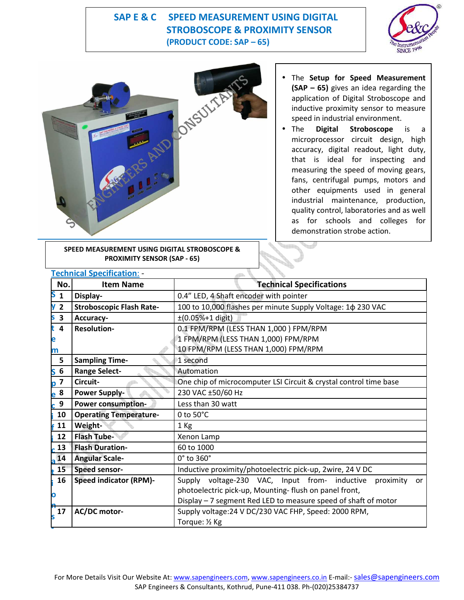## **SAP E & C SPEED MEASUREMENT USING DIGITAL STROBOSCOPE & PROXIMITY SENSOR (PRODUCT CODE: SAP – 65)**





**SPEED MEASUREMENT USING DIGITAL STROBOSCOPE & PROXIMITY SENSOR (SAP - 65)**

- The **Setup for Speed Measurement (SAP – 65)** gives an idea regarding the application of Digital Stroboscope and inductive proximity sensor to measure speed in industrial environment.
- The **Digital Stroboscope** is a microprocessor circuit design, high accuracy, digital readout, light duty, that is ideal for inspecting and measuring the speed of moving gears, fans, centrifugal pumps, motors and other equipments used in general industrial maintenance, production, quality control, laboratories and as well as for schools and colleges for demonstration strobe action.

|                              | <b>Technical Specification: -</b> |                                                                         |
|------------------------------|-----------------------------------|-------------------------------------------------------------------------|
| No.                          | <b>Item Name</b>                  | <b>Technical Specifications</b>                                         |
| S<br>$\mathbf{1}$            | Display-                          | 0.4" LED, 4 Shaft encoder with pointer                                  |
| $\overline{2}$<br>۷          | <b>Stroboscopic Flash Rate-</b>   | 100 to 10,000 flashes per minute Supply Voltage: 1 \$ 230 VAC           |
| 3<br>S                       | Accuracy-                         | $±(0.05%+1$ digit)                                                      |
| $\overline{4}$<br>t          | <b>Resolution-</b>                | 0.1 FPM/RPM (LESS THAN 1,000) FPM/RPM                                   |
| e                            |                                   | 1 FPM/RPM (LESS THAN 1,000) FPM/RPM                                     |
| m                            |                                   | 10 FPM/RPM (LESS THAN 1,000) FPM/RPM                                    |
| 5                            | <b>Sampling Time-</b>             | 1 second                                                                |
| $\boldsymbol{6}$<br>S        | <b>Range Select-</b>              | Automation                                                              |
| $\overline{\mathbf{z}}$<br>D | Circuit-                          | One chip of microcomputer LSI Circuit & crystal control time base       |
| e <sup>8</sup>               | <b>Power Supply-</b>              | 230 VAC ±50/60 Hz                                                       |
| 9                            | Power consumption-                | Less than 30 watt                                                       |
| 10                           | <b>Operating Temperature-</b>     | 0 to $50^{\circ}$ C                                                     |
| 11                           | Weight-                           | 1 Kg                                                                    |
| 12                           | <b>Flash Tube-</b>                | Xenon Lamp                                                              |
| 13                           | <b>Flash Duration-</b>            | 60 to 1000                                                              |
| 14                           | <b>Angular Scale-</b>             | 0° to 360°                                                              |
| 15                           | Speed sensor-                     | Inductive proximity/photoelectric pick-up, 2wire, 24 V DC               |
| 16                           | <b>Speed indicator (RPM)-</b>     | Supply voltage-230 VAC, Input from- inductive<br>proximity<br><b>or</b> |
| O                            |                                   | photoelectric pick-up, Mounting- flush on panel front,                  |
|                              |                                   | Display - 7 segment Red LED to measure speed of shaft of motor          |
| <b>17</b>                    | <b>AC/DC motor-</b>               | Supply voltage: 24 V DC/230 VAC FHP, Speed: 2000 RPM,                   |
|                              |                                   | Torque: 1/2 Kg                                                          |